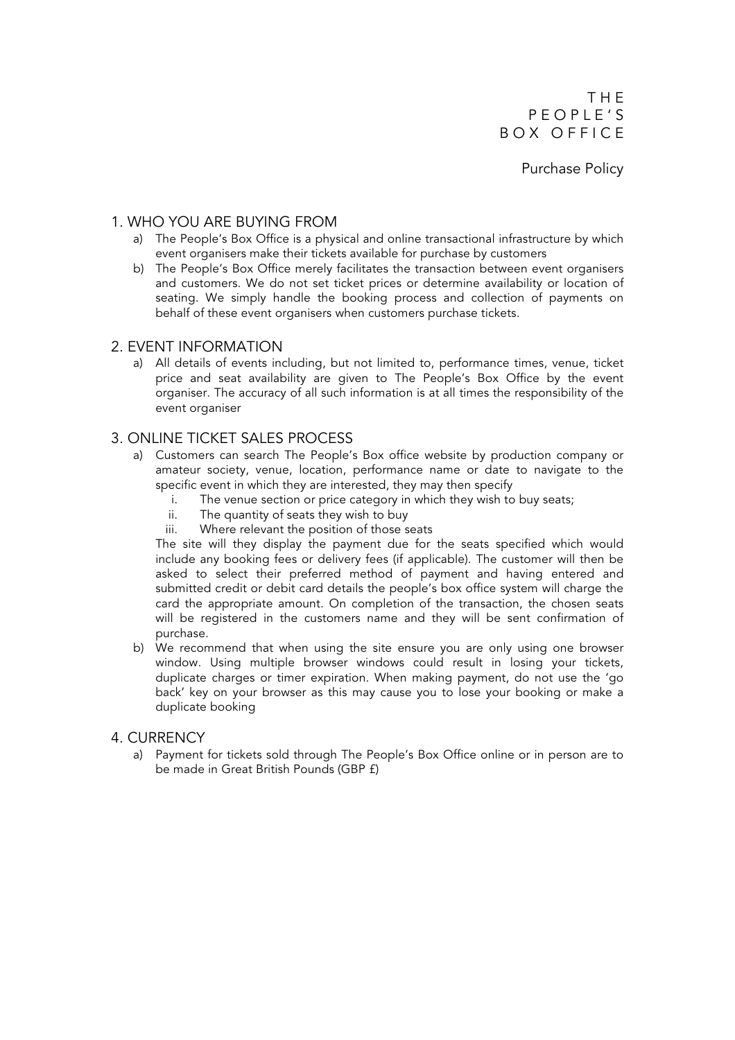T H E P E O P L E ' S BOX OFFICE

Purchase Policy

## 1. WHO YOU ARE BUYING FROM

- a) The People's Box Office is a physical and online transactional infrastructure by which event organisers make their tickets available for purchase by customers
- b) The People's Box Office merely facilitates the transaction between event organisers and customers. We do not set ticket prices or determine availability or location of seating. We simply handle the booking process and collection of payments on behalf of these event organisers when customers purchase tickets.

## 2. EVENT INFORMATION

a) All details of events including, but not limited to, performance times, venue, ticket price and seat availability are given to The People's Box Office by the event organiser. The accuracy of all such information is at all times the responsibility of the event organiser

## 3. ONLINE TICKET SALES PROCESS

- a) Customers can search The People's Box office website by production company or amateur society, venue, location, performance name or date to navigate to the specific event in which they are interested, they may then specify
	- i. The venue section or price category in which they wish to buy seats;
	- ii. The quantity of seats they wish to buy
	- iii. Where relevant the position of those seats

The site will they display the payment due for the seats specified which would include any booking fees or delivery fees (if applicable). The customer will then be asked to select their preferred method of payment and having entered and submitted credit or debit card details the people's box office system will charge the card the appropriate amount. On completion of the transaction, the chosen seats will be registered in the customers name and they will be sent confirmation of purchase.

b) We recommend that when using the site ensure you are only using one browser window. Using multiple browser windows could result in losing your tickets, duplicate charges or timer expiration. When making payment, do not use the 'go back' key on your browser as this may cause you to lose your booking or make a duplicate booking

## 4. CURRENCY

a) Payment for tickets sold through The People's Box Office online or in person are to be made in Great British Pounds (GBP £)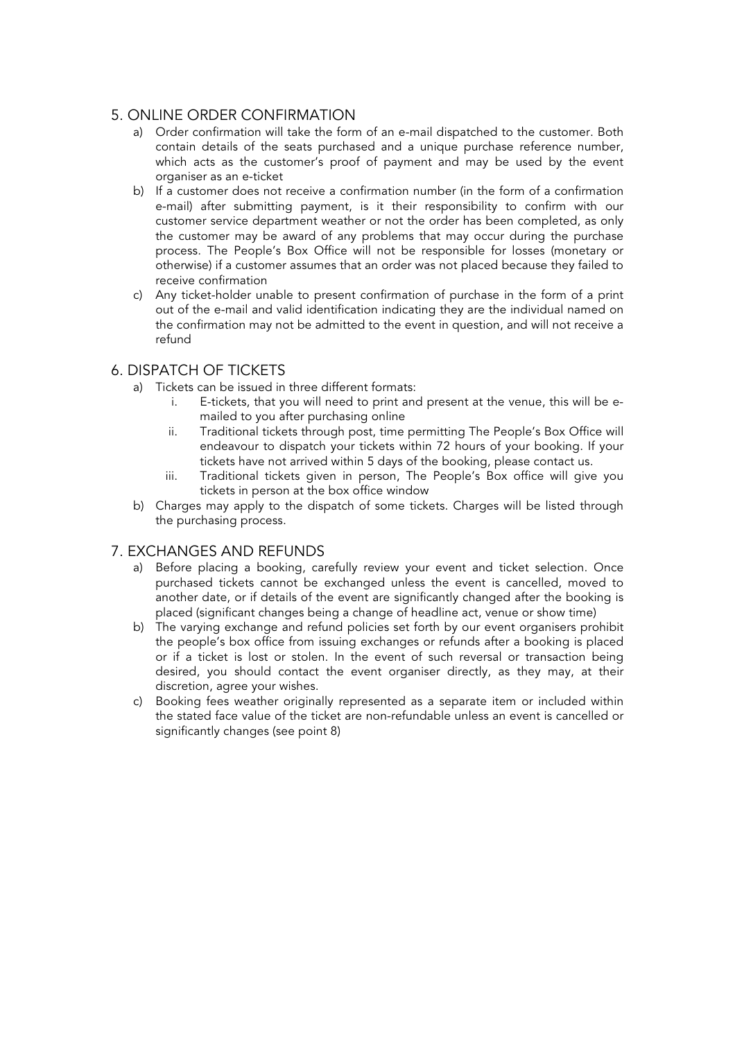# 5. ONLINE ORDER CONFIRMATION

- a) Order confirmation will take the form of an e-mail dispatched to the customer. Both contain details of the seats purchased and a unique purchase reference number, which acts as the customer's proof of payment and may be used by the event organiser as an e-ticket
- b) If a customer does not receive a confirmation number (in the form of a confirmation e-mail) after submitting payment, is it their responsibility to confirm with our customer service department weather or not the order has been completed, as only the customer may be award of any problems that may occur during the purchase process. The People's Box Office will not be responsible for losses (monetary or otherwise) if a customer assumes that an order was not placed because they failed to receive confirmation
- c) Any ticket-holder unable to present confirmation of purchase in the form of a print out of the e-mail and valid identification indicating they are the individual named on the confirmation may not be admitted to the event in question, and will not receive a refund

# 6. DISPATCH OF TICKETS

- a) Tickets can be issued in three different formats:
	- i. E-tickets, that you will need to print and present at the venue, this will be emailed to you after purchasing online
	- ii. Traditional tickets through post, time permitting The People's Box Office will endeavour to dispatch your tickets within 72 hours of your booking. If your tickets have not arrived within 5 days of the booking, please contact us.
	- iii. Traditional tickets given in person, The People's Box office will give you tickets in person at the box office window
- b) Charges may apply to the dispatch of some tickets. Charges will be listed through the purchasing process.

# 7. EXCHANGES AND REFUNDS

- a) Before placing a booking, carefully review your event and ticket selection. Once purchased tickets cannot be exchanged unless the event is cancelled, moved to another date, or if details of the event are significantly changed after the booking is placed (significant changes being a change of headline act, venue or show time)
- b) The varying exchange and refund policies set forth by our event organisers prohibit the people's box office from issuing exchanges or refunds after a booking is placed or if a ticket is lost or stolen. In the event of such reversal or transaction being desired, you should contact the event organiser directly, as they may, at their discretion, agree your wishes.
- c) Booking fees weather originally represented as a separate item or included within the stated face value of the ticket are non-refundable unless an event is cancelled or significantly changes (see point 8)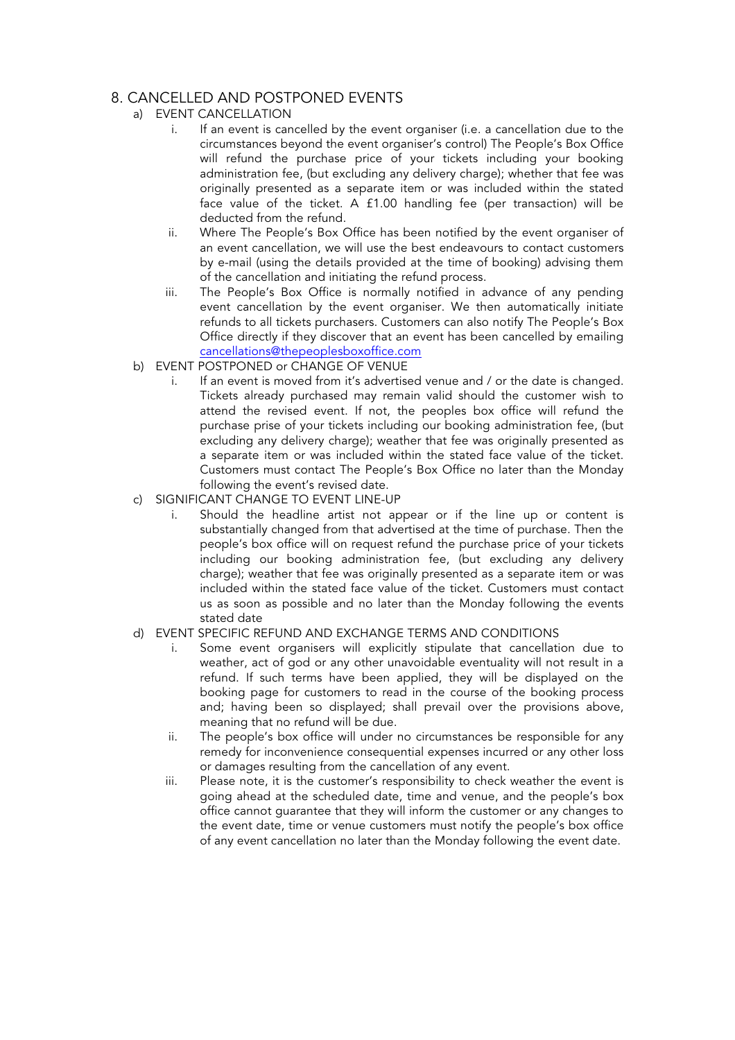# 8. CANCELLED AND POSTPONED EVENTS

- a) EVENT CANCELLATION
	- i. If an event is cancelled by the event organiser (i.e. a cancellation due to the circumstances beyond the event organiser's control) The People's Box Office will refund the purchase price of your tickets including your booking administration fee, (but excluding any delivery charge); whether that fee was originally presented as a separate item or was included within the stated face value of the ticket. A £1.00 handling fee (per transaction) will be deducted from the refund.
	- ii. Where The People's Box Office has been notified by the event organiser of an event cancellation, we will use the best endeavours to contact customers by e-mail (using the details provided at the time of booking) advising them of the cancellation and initiating the refund process.
	- iii. The People's Box Office is normally notified in advance of any pending event cancellation by the event organiser. We then automatically initiate refunds to all tickets purchasers. Customers can also notify The People's Box Office directly if they discover that an event has been cancelled by emailing cancellations@thepeoplesboxoffice.com
- b) EVENT POSTPONED or CHANGE OF VENUE
	- i. If an event is moved from it's advertised venue and / or the date is changed. Tickets already purchased may remain valid should the customer wish to attend the revised event. If not, the peoples box office will refund the purchase prise of your tickets including our booking administration fee, (but excluding any delivery charge); weather that fee was originally presented as a separate item or was included within the stated face value of the ticket. Customers must contact The People's Box Office no later than the Monday following the event's revised date.
- c) SIGNIFICANT CHANGE TO EVENT LINE-UP
	- i. Should the headline artist not appear or if the line up or content is substantially changed from that advertised at the time of purchase. Then the people's box office will on request refund the purchase price of your tickets including our booking administration fee, (but excluding any delivery charge); weather that fee was originally presented as a separate item or was included within the stated face value of the ticket. Customers must contact us as soon as possible and no later than the Monday following the events stated date

#### d) EVENT SPECIFIC REFUND AND EXCHANGE TERMS AND CONDITIONS

- Some event organisers will explicitly stipulate that cancellation due to weather, act of god or any other unavoidable eventuality will not result in a refund. If such terms have been applied, they will be displayed on the booking page for customers to read in the course of the booking process and; having been so displayed; shall prevail over the provisions above, meaning that no refund will be due.
- ii. The people's box office will under no circumstances be responsible for any remedy for inconvenience consequential expenses incurred or any other loss or damages resulting from the cancellation of any event.
- iii. Please note, it is the customer's responsibility to check weather the event is going ahead at the scheduled date, time and venue, and the people's box office cannot guarantee that they will inform the customer or any changes to the event date, time or venue customers must notify the people's box office of any event cancellation no later than the Monday following the event date.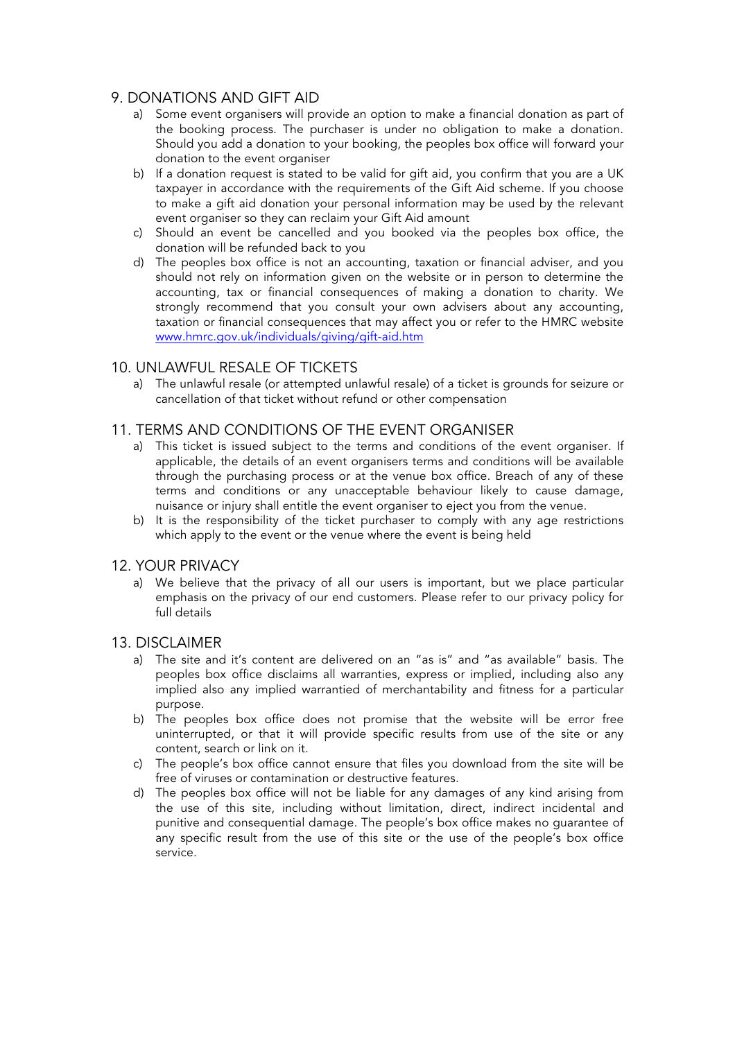# 9. DONATIONS AND GIFT AID

- a) Some event organisers will provide an option to make a financial donation as part of the booking process. The purchaser is under no obligation to make a donation. Should you add a donation to your booking, the peoples box office will forward your donation to the event organiser
- b) If a donation request is stated to be valid for gift aid, you confirm that you are a UK taxpayer in accordance with the requirements of the Gift Aid scheme. If you choose to make a gift aid donation your personal information may be used by the relevant event organiser so they can reclaim your Gift Aid amount
- c) Should an event be cancelled and you booked via the peoples box office, the donation will be refunded back to you
- d) The peoples box office is not an accounting, taxation or financial adviser, and you should not rely on information given on the website or in person to determine the accounting, tax or financial consequences of making a donation to charity. We strongly recommend that you consult your own advisers about any accounting, taxation or financial consequences that may affect you or refer to the HMRC website www.hmrc.gov.uk/individuals/giving/gift-aid.htm

## 10. UNLAWFUL RESALE OF TICKETS

a) The unlawful resale (or attempted unlawful resale) of a ticket is grounds for seizure or cancellation of that ticket without refund or other compensation

## 11. TERMS AND CONDITIONS OF THE EVENT ORGANISER

- a) This ticket is issued subject to the terms and conditions of the event organiser. If applicable, the details of an event organisers terms and conditions will be available through the purchasing process or at the venue box office. Breach of any of these terms and conditions or any unacceptable behaviour likely to cause damage, nuisance or injury shall entitle the event organiser to eject you from the venue.
- b) It is the responsibility of the ticket purchaser to comply with any age restrictions which apply to the event or the venue where the event is being held

## 12. YOUR PRIVACY

a) We believe that the privacy of all our users is important, but we place particular emphasis on the privacy of our end customers. Please refer to our privacy policy for full details

## 13. DISCLAIMER

- a) The site and it's content are delivered on an "as is" and "as available" basis. The peoples box office disclaims all warranties, express or implied, including also any implied also any implied warrantied of merchantability and fitness for a particular purpose.
- b) The peoples box office does not promise that the website will be error free uninterrupted, or that it will provide specific results from use of the site or any content, search or link on it.
- c) The people's box office cannot ensure that files you download from the site will be free of viruses or contamination or destructive features.
- d) The peoples box office will not be liable for any damages of any kind arising from the use of this site, including without limitation, direct, indirect incidental and punitive and consequential damage. The people's box office makes no guarantee of any specific result from the use of this site or the use of the people's box office service.